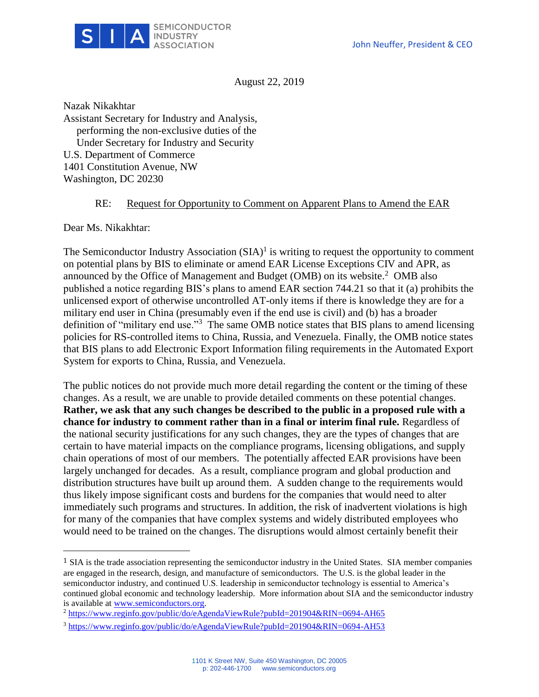

August 22, 2019

Nazak Nikakhtar Assistant Secretary for Industry and Analysis, performing the non-exclusive duties of the Under Secretary for Industry and Security U.S. Department of Commerce 1401 Constitution Avenue, NW Washington, DC 20230

## RE: Request for Opportunity to Comment on Apparent Plans to Amend the EAR

Dear Ms. Nikakhtar:

l

The Semiconductor Industry Association  $(SIA)^1$  is writing to request the opportunity to comment on potential plans by BIS to eliminate or amend EAR License Exceptions CIV and APR, as announced by the Office of Management and Budget (OMB) on its website. $2$  OMB also published a notice regarding BIS's plans to amend EAR section 744.21 so that it (a) prohibits the unlicensed export of otherwise uncontrolled AT-only items if there is knowledge they are for a military end user in China (presumably even if the end use is civil) and (b) has a broader definition of "military end use."<sup>3</sup> The same OMB notice states that BIS plans to amend licensing policies for RS-controlled items to China, Russia, and Venezuela. Finally, the OMB notice states that BIS plans to add Electronic Export Information filing requirements in the Automated Export System for exports to China, Russia, and Venezuela.

The public notices do not provide much more detail regarding the content or the timing of these changes. As a result, we are unable to provide detailed comments on these potential changes. **Rather, we ask that any such changes be described to the public in a proposed rule with a chance for industry to comment rather than in a final or interim final rule.** Regardless of the national security justifications for any such changes, they are the types of changes that are certain to have material impacts on the compliance programs, licensing obligations, and supply chain operations of most of our members. The potentially affected EAR provisions have been largely unchanged for decades. As a result, compliance program and global production and distribution structures have built up around them. A sudden change to the requirements would thus likely impose significant costs and burdens for the companies that would need to alter immediately such programs and structures. In addition, the risk of inadvertent violations is high for many of the companies that have complex systems and widely distributed employees who would need to be trained on the changes. The disruptions would almost certainly benefit their

<sup>&</sup>lt;sup>1</sup> SIA is the trade association representing the semiconductor industry in the United States. SIA member companies are engaged in the research, design, and manufacture of semiconductors. The U.S. is the global leader in the semiconductor industry, and continued U.S. leadership in semiconductor technology is essential to America's continued global economic and technology leadership. More information about SIA and the semiconductor industry is available at [www.semiconductors.org.](http://www.semiconductors.org/)

<sup>2</sup> <https://www.reginfo.gov/public/do/eAgendaViewRule?pubId=201904&RIN=0694-AH65>

<sup>3</sup> <https://www.reginfo.gov/public/do/eAgendaViewRule?pubId=201904&RIN=0694-AH53>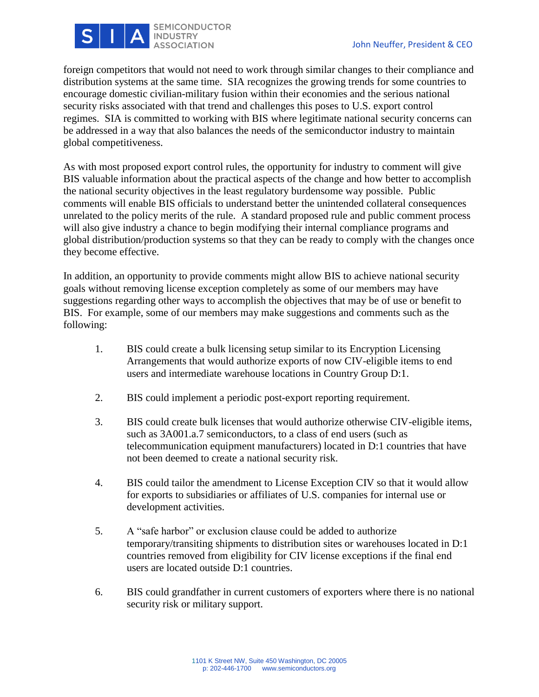

foreign competitors that would not need to work through similar changes to their compliance and distribution systems at the same time. SIA recognizes the growing trends for some countries to encourage domestic civilian-military fusion within their economies and the serious national security risks associated with that trend and challenges this poses to U.S. export control regimes. SIA is committed to working with BIS where legitimate national security concerns can be addressed in a way that also balances the needs of the semiconductor industry to maintain global competitiveness.

As with most proposed export control rules, the opportunity for industry to comment will give BIS valuable information about the practical aspects of the change and how better to accomplish the national security objectives in the least regulatory burdensome way possible. Public comments will enable BIS officials to understand better the unintended collateral consequences unrelated to the policy merits of the rule. A standard proposed rule and public comment process will also give industry a chance to begin modifying their internal compliance programs and global distribution/production systems so that they can be ready to comply with the changes once they become effective.

In addition, an opportunity to provide comments might allow BIS to achieve national security goals without removing license exception completely as some of our members may have suggestions regarding other ways to accomplish the objectives that may be of use or benefit to BIS. For example, some of our members may make suggestions and comments such as the following:

- 1. BIS could create a bulk licensing setup similar to its Encryption Licensing Arrangements that would authorize exports of now CIV-eligible items to end users and intermediate warehouse locations in Country Group D:1.
- 2. BIS could implement a periodic post-export reporting requirement.
- 3. BIS could create bulk licenses that would authorize otherwise CIV-eligible items, such as 3A001.a.7 semiconductors, to a class of end users (such as telecommunication equipment manufacturers) located in D:1 countries that have not been deemed to create a national security risk.
- 4. BIS could tailor the amendment to License Exception CIV so that it would allow for exports to subsidiaries or affiliates of U.S. companies for internal use or development activities.
- 5. A "safe harbor" or exclusion clause could be added to authorize temporary/transiting shipments to distribution sites or warehouses located in D:1 countries removed from eligibility for CIV license exceptions if the final end users are located outside D:1 countries.
- 6. BIS could grandfather in current customers of exporters where there is no national security risk or military support.